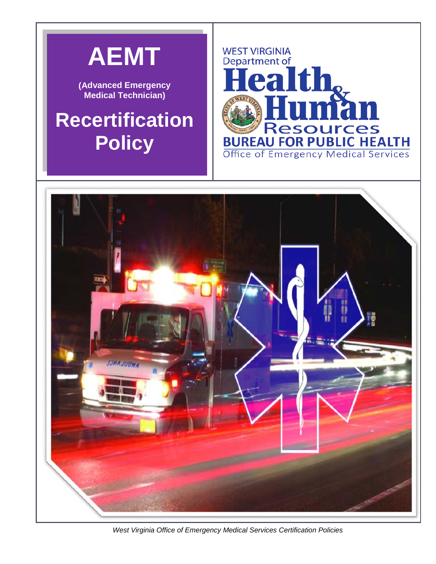

 *West Virginia Office of Emergency Medical Services Certification Policies*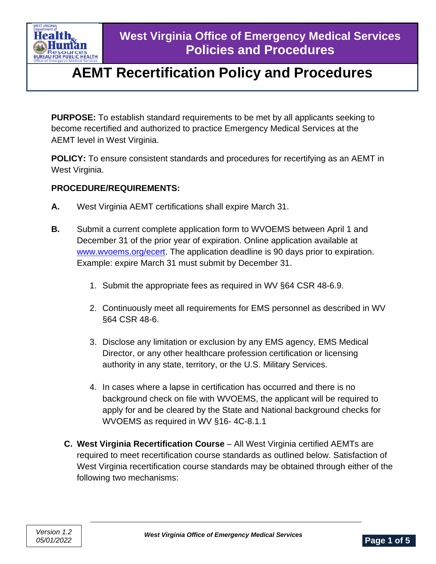

**PURPOSE:** To establish standard requirements to be met by all applicants seeking to become recertified and authorized to practice Emergency Medical Services at the AEMT level in West Virginia.

**POLICY:** To ensure consistent standards and procedures for recertifying as an AEMT in West Virginia.

### **PROCEDURE/REQUIREMENTS:**

- **A.** West Virginia AEMT certifications shall expire March 31.
- **B.** Submit a current complete application form to WVOEMS between April 1 and December 31 of the prior year of expiration. Online application available at [www.wvoems.org/](http://www.wvoems.org/)ecert. The application deadline is 90 days prior to expiration. Example: expire March 31 must submit by December 31.
	- 1. Submit the appropriate fees as required in WV §64 CSR 48-6.9.
	- 2. Continuously meet all requirements for EMS personnel as described in WV §64 CSR 48-6.
	- 3. Disclose any limitation or exclusion by any EMS agency, EMS Medical Director, or any other healthcare profession certification or licensing authority in any state, territory, or the U.S. Military Services.
	- 4. In cases where a lapse in certification has occurred and there is no background check on file with WVOEMS, the applicant will be required to apply for and be cleared by the State and National background checks for WVOEMS as required in WV §16- 4C-8.1.1
	- **C. West Virginia Recertification Course** All West Virginia certified AEMTs are required to meet recertification course standards as outlined below. Satisfaction of West Virginia recertification course standards may be obtained through either of the following two mechanisms: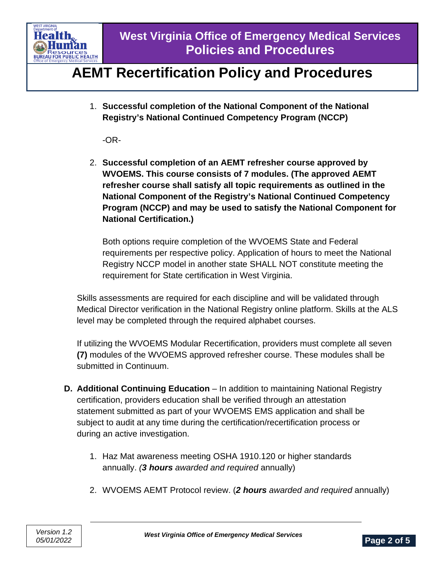

1. **Successful completion of the National Component of the National Registry's National Continued Competency Program (NCCP)**

-OR-

2. **Successful completion of an AEMT refresher course approved by WVOEMS. This course consists of 7 modules. (The approved AEMT refresher course shall satisfy all topic requirements as outlined in the National Component of the Registry's National Continued Competency Program (NCCP) and may be used to satisfy the National Component for National Certification.)**

Both options require completion of the WVOEMS State and Federal requirements per respective policy. Application of hours to meet the National Registry NCCP model in another state SHALL NOT constitute meeting the requirement for State certification in West Virginia.

Skills assessments are required for each discipline and will be validated through Medical Director verification in the National Registry online platform. Skills at the ALS level may be completed through the required alphabet courses.

If utilizing the WVOEMS Modular Recertification, providers must complete all seven **(7)** modules of the WVOEMS approved refresher course. These modules shall be submitted in Continuum.

- **D. Additional Continuing Education** In addition to maintaining National Registry certification, providers education shall be verified through an attestation statement submitted as part of your WVOEMS EMS application and shall be subject to audit at any time during the certification/recertification process or during an active investigation.
	- 1. Haz Mat awareness meeting OSHA 1910.120 or higher standards annually. *(3 hours awarded and required* annually)
	- 2. WVOEMS AEMT Protocol review. (*2 hours awarded and required* annually)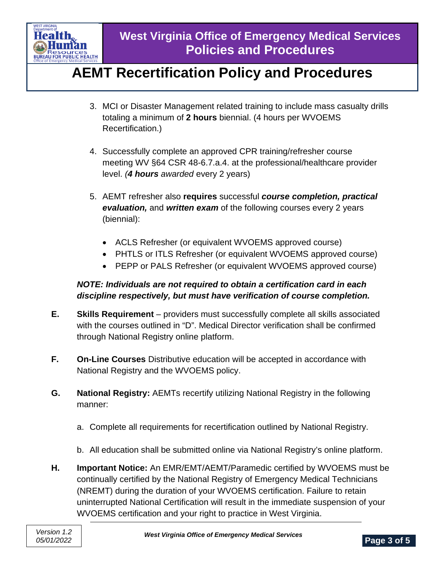

- 3. MCI or Disaster Management related training to include mass casualty drills totaling a minimum of **2 hours** biennial. (4 hours per WVOEMS Recertification.)
- 4. Successfully complete an approved CPR training/refresher course meeting WV §64 CSR 48-6.7.a.4. at the professional/healthcare provider level. *(4 hours awarded* every 2 years)
- 5. AEMT refresher also **requires** successful *course completion, practical evaluation,* and *written exam* of the following courses every 2 years (biennial):
	- ACLS Refresher (or equivalent WVOEMS approved course)
	- PHTLS or ITLS Refresher (or equivalent WVOEMS approved course)
	- PEPP or PALS Refresher (or equivalent WVOEMS approved course)

### *NOTE: Individuals are not required to obtain a certification card in each discipline respectively, but must have verification of course completion.*

- **E. Skills Requirement** providers must successfully complete all skills associated with the courses outlined in "D". Medical Director verification shall be confirmed through National Registry online platform.
- **F. On-Line Courses** Distributive education will be accepted in accordance with National Registry and the WVOEMS policy.
- **G. National Registry:** AEMTs recertify utilizing National Registry in the following manner:
	- a. Complete all requirements for recertification outlined by National Registry.
	- b. All education shall be submitted online via National Registry's online platform.
- **H. Important Notice:** An EMR/EMT/AEMT/Paramedic certified by WVOEMS must be continually certified by the National Registry of Emergency Medical Technicians (NREMT) during the duration of your WVOEMS certification. Failure to retain uninterrupted National Certification will result in the immediate suspension of your WVOEMS certification and your right to practice in West Virginia.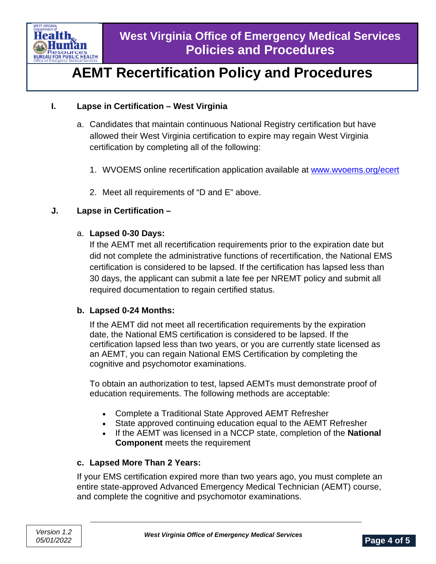

### **I. Lapse in Certification – West Virginia**

- a. Candidates that maintain continuous National Registry certification but have allowed their West Virginia certification to expire may regain West Virginia certification by completing all of the following:
	- 1. WVOEMS online recertification application available at [www.wvoems.org/ecert](http://www.wvoems.org/ecert)
	- 2. Meet all requirements of "D and E" above.

#### **J. Lapse in Certification –**

#### a. **Lapsed 0-30 Days:**

If the AEMT met all recertification requirements prior to the expiration date but did not complete the administrative functions of recertification, the National EMS certification is considered to be lapsed. If the certification has lapsed less than 30 days, the applicant can submit a late fee per NREMT policy and submit all required documentation to regain certified status.

#### **b. Lapsed 0-24 Months:**

If the AEMT did not meet all recertification requirements by the expiration date, the National EMS certification is considered to be lapsed. If the certification lapsed less than two years, or you are currently state licensed as an AEMT, you can regain National EMS Certification by completing the cognitive and psychomotor examinations.

To obtain an authorization to test, lapsed AEMTs must demonstrate proof of education requirements. The following methods are acceptable:

- Complete a Traditional State Approved AEMT Refresher
- State approved continuing education equal to the AEMT Refresher
- If the AEMT was licensed in a NCCP state, completion of the **National Component** meets the requirement

### **c. Lapsed More Than 2 Years:**

If your EMS certification expired more than two years ago, you must complete an entire state-approved Advanced Emergency Medical Technician (AEMT) course, and complete the cognitive and psychomotor examinations.